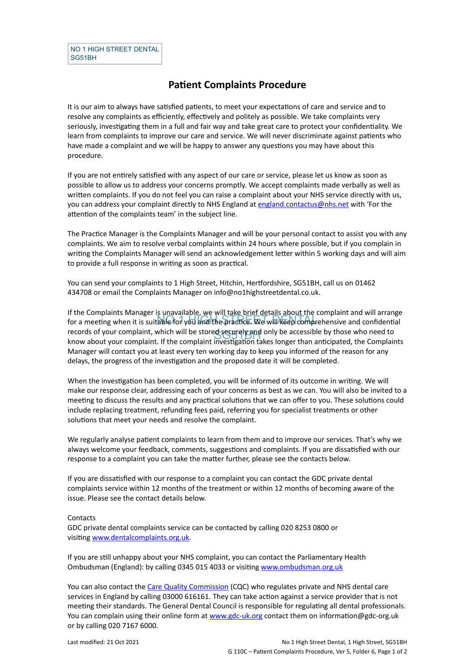## **Patient Complaints Procedure**

It is our aim to always have satisfied patients, to meet your expectations of care and service and to resolve any complaints as efficiently, effectively and politely as possible. We take complaints very seriously, investigating them in a full and fair way and take great care to protect your confidentiality. We learn from complaints to improve our care and service. We will never discriminate against patients who have made a complaint and we will be happy to answer any questions you may have about this procedure.

If you are not entirely satisfied with any aspect of our care or service, please let us know as soon as possible to allow us to address your concerns promptly. We accept complaints made verbally as well as written complaints. If you do not feel you can raise a complaint about your NHS service directly with us, you can address your complaint directly to NHS England at [england.contactus@nhs.net](mailto:england.contactus@nhs.net) with 'For the attention of the complaints team' in the subject line.

The Practice Manager is the Complaints Manager and will be your personal contact to assist you with any complaints. We aim to resolve verbal complaints within 24 hours where possible, but if you complain in writing the Complaints Manager will send an acknowledgement letter within 5 working days and will aim to provide a full response in writing as soon as practical.

You can send your complaints to 1 High Street, Hitchin, Hertfordshire, SG51BH, call us on 01462 434708 or email the Complaints Manager on info@no1highstreetdental.co.uk.

no the complement manager to the non-the process of the complete the complement and the energy for a meeting when it is suitable for you and the practice. We will keep comprehensive and confidential records of your complaint, which will be stored securely and only be accessible by those who need to<br>know about your complaint, if the complaint investigation takes longer than anticipated, the Complai If the Complaints Manager is unavailable, we will take brief details about the complaint and will arrange know about your complaint. If the complaint investigation takes longer than anticipated, the Complaints Manager will contact you at least every ten working day to keep you informed of the reason for any delays, the progress of the investigation and the proposed date it will be completed.

When the investigation has been completed, you will be informed of its outcome in writing. We will make our response clear, addressing each of your concerns as best as we can. You will also be invited to a meeting to discuss the results and any practical solutions that we can offer to you. These solutions could include replacing treatment, refunding fees paid, referring you for specialist treatments or other solutions that meet your needs and resolve the complaint.

We regularly analyse patient complaints to learn from them and to improve our services. That's why we always welcome your feedback, comments, suggestions and complaints. If you are dissatisfied with our response to a complaint you can take the matter further, please see the contacts below.

If you are dissatisfied with our response to a complaint you can contact the GDC private dental complaints service within 12 months of the treatment or within 12 months of becoming aware of the issue. Please see the contact details below.

## **Contacts**

GDC private dental complaints service can be contacted by calling 020 8253 0800 or visiting [www.dentalcomplaints.org.uk](http://www.dentalcomplaints.org.uk/).

If you are still unhappy about your NHS complaint, you can contact the Parliamentary Health Ombudsman (England): by calling 0345 015 4033 or visiting [www.ombudsman.org.uk](http://www.ombudsman.org.uk/)

You can also contact the [Care Quality Commission](http://www.cqc.org.uk/) (CQC) who regulates private and NHS dental care services in England by calling 03000 616161. They can take action against a service provider that is not meeting their standards. The General Dental Council is responsible for regulating all dental professionals. You can complain using their online form at [www.gdc-uk.org](http://contactus.gdc-uk.org/Enquiry/SelectType) contact them on information@gdc-org.uk or by calling 020 7167 6000.